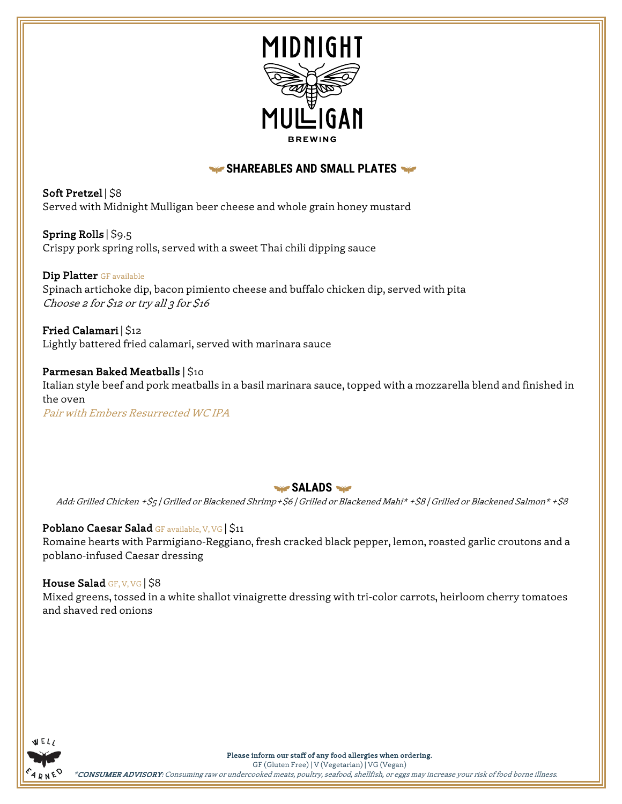

# **SHAREABLES AND SMALL PLATES**

Soft Pretzel | \$8 Served with Midnight Mulligan beer cheese and whole grain honey mustard

Spring Rolls | \$9.5 Crispy pork spring rolls, served with a sweet Thai chili dipping sauce

Dip Platter GF available Spinach artichoke dip, bacon pimiento cheese and buffalo chicken dip, served with pita Choose 2 for \$12 or try all 3 for \$16

Fried Calamari |  $$12$ Lightly battered fried calamari, served with marinara sauce

Parmesan Baked Meatballs | \$10 Italian style beef and pork meatballs in a basil marinara sauce, topped with a mozzarella blend and finished in the oven Pair with Embers Resurrected WC IPA

SALADS

Add: Grilled Chicken +\$5 | Grilled or Blackened Shrimp+\$6 | Grilled or Blackened Mahi\* +\$8 | Grilled or Blackened Salmon\* +\$8

# Poblano Caesar Salad GF available, V, VG S11

Romaine hearts with Parmigiano-Reggiano, fresh cracked black pepper, lemon, roasted garlic croutons and a poblano-infused Caesar dressing

## House Salad GF, V, VG | \$8

Mixed greens, tossed in a white shallot vinaigrette dressing with tri-color carrots, heirloom cherry tomatoes and shaved red onions



Please inform our staff of any food allergies when ordering.

GF (Gluten Free) | V (Vegetarian) | VG (Vegan) \*CONSUMER ADVISORY: Consuming raw or undercooked meats, poultry, seafood, shellfish, or eggs may increase your risk of food borne illness.